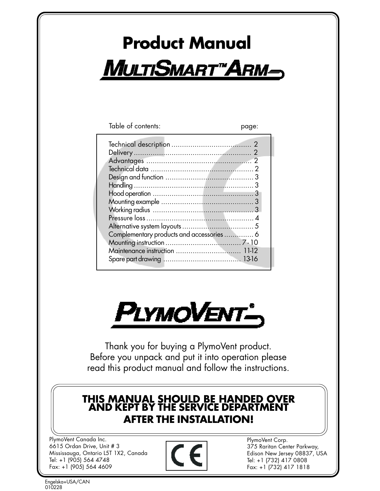# **Product Manual MULTISMART"ARM-**

Table of contents:

| Complementary products and accessories  6 |
|-------------------------------------------|
|                                           |
|                                           |
| Maintenance instruction  11-12            |
|                                           |
|                                           |
|                                           |



Thank you for buying a PlymoVent product. Before you unpack and put it into operation please read this product manual and follow the instructions.

# **THIS MANUAL SHOULD BE HANDED OVER AND KEPT BY THE SERVICE DEPARTMENT AFTER THE INSTALLATION!**

PlymoVent Canada Inc. 6615 Ordan Drive, Unit # 3 Mississauga, Ontario L5T 1X2, Canada Tel: +1 (905) 564 4748 Fax: +1 (905) 564 4609



PlymoVent Corp. 375 Raritan Center Parkway, Edison New Jersey 08837, USA Tel: +1 (732) 417 0808 Fax: +1 (732) 417 1818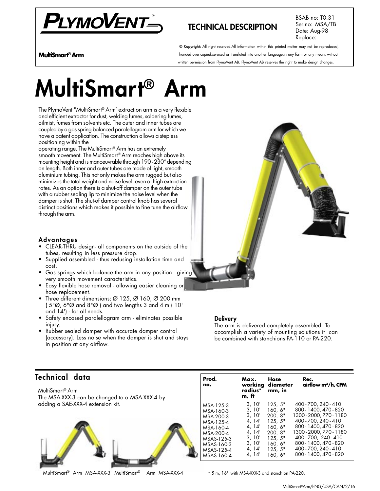

## **TECHNICAL DESCRIPTION**

BSAB no: T0.31 Ser.no: MSA/TB Date: Aug-98 Replace:

**© Copyright:** All right reserved.All information within this printed matter may not be reproduced, handed over,copied,xeroxed or translated into another language,in any form or any means without written permission from PlymoVent AB. PlymoVent AB reserves the right to make design changes.

**MultiSmart® Arm**

# **MultiSmart® Arm**

The PlymoVent "MultiSmart® Arm" extraction arm is a very flexible and efficient extractor for dust, welding fumes, soldering fumes, oilmist, fumes from solvents etc. The outer and inner tubes are coupled by a gas spring balanced paralellogram arm for which we have a patent application. The construction allows a stepless positioning within the

operating range. The MultiSmart® Arm has an extremely smooth movement. The MultiSmart® Arm reaches high above its mounting height and is manoeuvrable through 190 - 230° depending on length. Both inner and outer tubes are made of light, smooth aluminium tubing. This not only makes the arm rugged but also minimizes the total weight and noise level, even at high extraction rates. As an option there is a shut-off damper on the outer tube with a rubber sealing lip to minimize the noise level when the damper is shut. The shut-of damper control knob has several distinct positions which makes it possible to fine tune the airflow through the arm.

#### **Advantages**

- CLEAR-THRU design- all components on the outside of the tubes, resulting in less pressure drop.
- Supplied assembled thus redusing installation time and cost.
- Gas springs which balance the arm in any position giving very smooth movement caracteristics.
- Easy flexible hose removal allowing easier cleaning or hose replacement.
- Three different dimensions; Ø 125, Ø 160, Ø 200 mm ( 5"Ø, 6"Ø and 8"Ø ) and two lengths 3 and 4 m ( 10' and 14') - for all needs.
- Safety encased paralellogram arm eliminates possible injury.
- Rubber sealed damper with accurate damper control (accessory). Less noise when the damper is shut and stays in position at any airflow.



#### **Delivery**

The arm is delivered completely assembled. To accomplish a variety of mounting solutions it can be combined with stanchions PA-110 or PA-220.

#### **Technical data**

MultiSmart® Arm The MSA-XXX-3 can be changed to a MSA-XXX-4 by adding a SAE-XXX-4 extension kit.



MultiSmart® Arm MSA-XXX-3 MultiSmart® Arm MSA-XXX-4

| Prod.<br>no. | Max.<br>radius*<br>m, ft | Hose<br>working diameter<br>mm, in | Rec.<br>airflow $m^3/h$ , CFM |
|--------------|--------------------------|------------------------------------|-------------------------------|
| MSA-125-3    | 3, 10'                   | 125, 5"                            | 400 - 700, 240 - 410          |
| MSA-160-3    | 3, 10'                   | 160.6"                             | 800 - 1400, 470 - 820         |
| MSA-200-3    | 3, 10'                   | 200.8"                             | 1300 - 2000, 770 - 1180       |
| MSA-125-4    | 4, 14'                   | 125.5"                             | 400 - 700, 240 - 410          |
| MSA-160-4    | 4, 14'                   | 160.6"                             | 800 - 1400, 470 - 820         |
| MSA-200-4    | 4, 14'                   | 200.8"                             | 1300 - 2000. 770 - 1180       |
| MSAS-125-3   | 3, 10'                   | 125, 5"                            | 400-700. 240-410              |
| MSAS-160-3   | 3, 10'                   | 160, 6"                            | 800 - 1400, 470 - 820         |
| MSAS-125-4   | 4, 14'                   | 125, 5"                            | 400 - 700, 240 - 410          |
| MSAS-160-4   | 4, 14'                   | 160, 6"                            | 800 - 1400, 470 - 820         |

\* 5 m, 16' with MSA-XXX-3 and stanchion PA-220.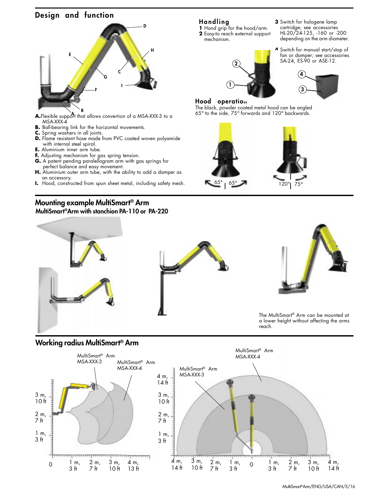### **Design and function**



- **A.**Flexible support that allows convertion of a MSA-XXX-3 to a MSA-XXX-4
- **B.** Ball-bearing link for the horizontal movements.
- **C.** Spring washers in all joints.
- **D.** Flame resistant hose made from PVC coated woven polyamide with internal steel spiral.
- **E.** Aluminium inner arm tube.
- **F.** Adjusting mechanism for gas spring tension.
- **G.** A patent pending paralellogram arm with gas springs for perfect balance and easy movement.
- H. Aluminium outer arm tube, with the ability to add a damper as an accessory.
- **I.** Hood, constructed from spun sheet metal, including safety mesh.

### **Mounting example MultiSmart® Arm**

**MultiSmart®Arm with stanchion PA-110 or PA-220**

**Handling**

**1** Hand grip for the hood/arm. **2** Easy-to reach external support mechanism.

**3** Switch for halogene lamp cartridge; see accessories HL-20/24-125, -160 or -200 depending on the arm diameter.

**4** Switch for manual start/stop of fan or damper; see accessories

**3**





#### **Hood operation**

The black, powder coated metal hood can be angled 65° to the side, 75° forwards and 120° backwards.









The MultiSmart® Arm can be mounted at a lower height without affecting the arms reach.

#### **Working radius MultiSmart® Arm**

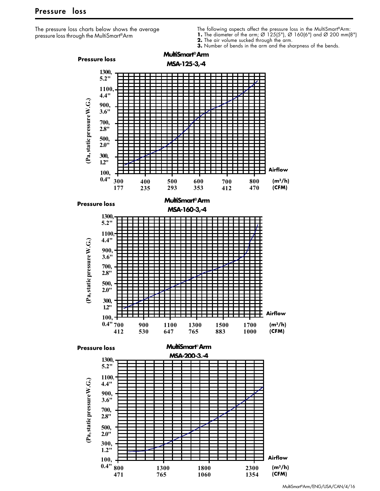The pressure loss charts below shows the average pressure loss through the MultiSmart®Arm

- The following aspects affect the pressure loss in the MultiSmart®Arm:
- **1.** The diameter of the arm; Ø 125(5"), Ø 160(6") and Ø 200 mm(8")
- **2.** The air volume sucked through the arm.
- **3.** Number of bends in the arm and the sharpness of the bends.



MultiSmart®Arm/ENG/USA/CAN/4/16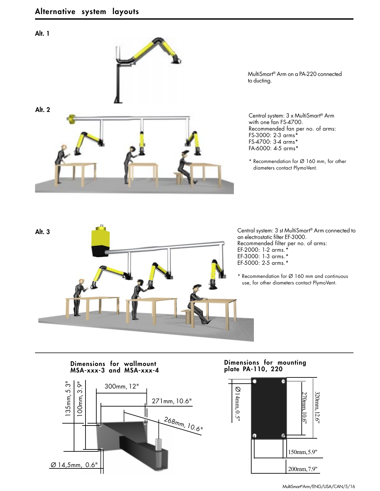#### **Alt. 1**



MultiSmart® Arm on a PA-220 connected

Central system: 3 x MultiSmart® Arm with one fan FS-4700. Recommended fan per no. of arms: FS-3000: 2-3 arms\* FS-4700: 3-4 arms\* FA-6000: 4-5 arms\*

\* Recommendation for Ø 160 mm, for other diameters contact PlymoVent.



an electrostatic filter EF-3000. Recommended filter per no. of arms: EF-2000: 1-2 arms.\* EF-3000: 1-3 arms.\* EF-5000: 2-5 arms.\*

\* Recommendation for Ø 160 mm and continuous use, for other diameters contact PlymoVent.

# **plate PA-110, 220 Dimensions for wallmount MSA-xxx-3 and MSA-xxx-4**



# **Dimensions for mounting**

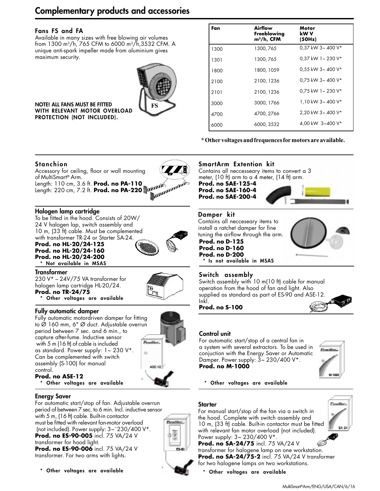# **Complementary products and accessories**

#### **Fans FS and FA**

Available in many sizes with free blowing air volumes from 1300 m3/h, 765 CFM to 6000 m3/h,3532 CFM. A unique anti-spark impeller made from aluminium gives maximum security.



**NOTE! ALL FANS MUST BE FITTED WITH RELEVANT MOTOR OVERLOAD PROTECTION (NOT INCLUDED).**

| Fan  | Airflow<br>Freeblowing<br>m <sup>3</sup> /h, CFM | Motor<br>kW V<br>(50Hz) |
|------|--------------------------------------------------|-------------------------|
| 1300 | 1300, 765                                        | 0,37 kW 3~400 V*        |
| 1301 | 1300, 765                                        | 0,37 kW 1~230 V*        |
| 1800 | 1800, 1059                                       | $0.55$ kW 3~400 V*      |
| 2100 | 2100, 1236                                       | $0.75$ kW 3~400 V*      |
| 2101 | 2100, 1236                                       | $0.75$ kW 1~230 V*      |
| 3000 | 3000, 1766                                       | 1.10 kW $3 - 400$ V*    |
| 4700 | 4700, 2766                                       | 2.20 kW $3 - 400$ V*    |
| 6000 | 6000, 3532                                       | 4.00 kW 3~400 V*        |
|      |                                                  |                         |

**\* Other voltages and frequences for motors are available.**

#### **Stanchion**



#### **Halogen lamp cartridge**

To be fitted in the hood. Consists of 20W/ 24 V halogen lap, switch assembly and 10 m, (33 ft) cable. Must be complemented with transformer TR-24 or Starter SA-24. **Prod. no HL-20/24-125 Prod. no HL-20/24-160 Prod. no HL-20/24-200**



**Transformer**

230 V\* – 24V/75 VA transformer for halogen lamp cartridge HL-20/24. **Prod. no TR-24/75 Other voltages are available** 

**\* Is not available in MSAS \* Not available in MSAS**



#### **Fully automatic damper**

Fully automatic motordriven damper for fitting to Ø 160 mm, 6" Ø duct. Adjustable overrun period between 7 sec. and 6 min., to capture after-fume. Inductive sensor with 5 m (16 ft) of cable is included as standard. Power supply: 1~ 230 V\*. Can be complemented with switch assembly (S-100) for manual control.



Phonokhor'.

Ē

E5-8

**Prod. no ASE-12**

#### **Other voltages are available**

#### **Energy Saver**

For automatic start/stop of fan. Adjustable overrun period of between 7 sec. to 6 min. Incl. inductive sensor with 5 m, (16 ft) cable. Built-in contactor must be fitted with relevant fan-motor overload (not included). Power supply: 3~¨230/400 V\*. **Prod. no ES-90-005** incl. 75 VA/24 V transformer for hood light. **Prod. no ES-90-006** incl. 75 VA/24 V

transformer. For two arms with lights.



#### **SmartArm Extention kit**

Contains all neccesseary items to convert a 3 meter, (10 ft) arm to a 4 meter, (14 ft) arm.

**Prod. no SAE-125-4 Prod. no SAE-160-4 Prod. no SAE-200-4**



#### **Damper kit**

Contains all necceseary items to install a ratchet damper for fine tuning the airflow through the arm.

#### **Prod. no D-125 Prod. no D-160**

**Prod. no D-200**<br>\* Is not available in MSAS

#### **Switch assembly**

Switch assembly with 10 m(10 ft) cable for manual operation from the hood of fan and light. Also supplied as standard as part of ES-90 and ASE-12. Inkl.

**Prod. no S-100**



#### **Control unit**

For automatic start/stop of a central fan in a system with several extractors. To be used in conjuction with the Energy Saver or Automatic Damper. Power supply: 3~ 230/400 V\*. **Prod. no M-1000**



**\* Other voltages are available**

#### **Starter**

For manual start/stop of the fan via a switch in the hood. Complete with switch assembly and 10 m, (33 ft) cable. Built-in contactor must be fitted with relevant fan motor overload (not included). Power supply: 3~ 230/400 V\*.



**Prod. no SA-24/75** incl. 75 VA/24 V transformer for halogene lamp on one workstation. **Prod. no SA-24/75-2** incl. 75 VA/24 V transformer for two halogene lamps on two workstations.

**Other voltages are available**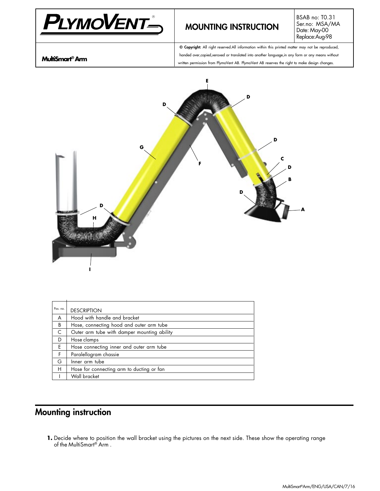

# **MOUNTING INSTRUCTION**

BSAB no: T0.31 Ser.no: MSA/MA Date: May-00 Replace:Aug-98

**MultiSmart® Arm**

**© Copyright:** All right reserved.All information within this printed matter may not be reproduced, handed over,copied,xeroxed or translated into another language,in any form or any means without written permission from PlymoVent AB. PlymoVent AB reserves the right to make design changes.



| Pos. no. | <b>DESCRIPTION</b>                          |
|----------|---------------------------------------------|
| A        | Hood with handle and bracket                |
| B        | Hose, connecting hood and outer arm tube    |
| C        | Outer arm tube with damper mounting ability |
| D        | Hose clamps                                 |
| E        | Hose connecting inner and outer arm tube    |
| F.       | Paralellogram chassie                       |
| G        | Inner arm tube                              |
| н        | Hose for connecting arm to ducting or fan   |
|          | Wall bracket                                |

# **Mounting instruction**

**1.** Decide where to position the wall bracket using the pictures on the next side. These show the operating range of the MultiSmart® Arm.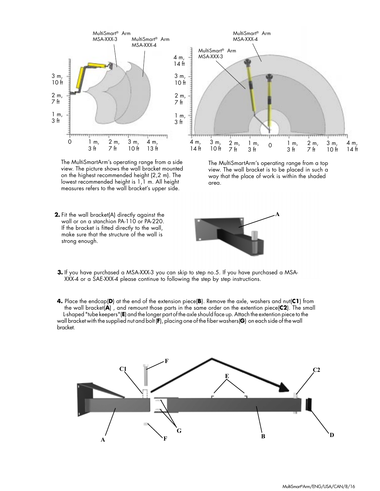

The MultiSmartArm's operating range from a side view. The picture shows the wall bracket mounted on the highest recommended height (2,2 m). The lowest recommended height is 1,1 m. All height measures refers to the wall bracket's upper side.

**2.** Fit the wall bracket(A) directly against the wall or on a stanchion PA-110 or PA-220. If the bracket is fitted directly to the wall, make sure that the structure of the wall is strong enough.



The MultiSmartArm's operating range from a top view. The wall bracket is to be placed in such a way that the place of work is within the shaded area.



- **3.** If you have purchased a MSA-XXX-3 you can skip to step no.5. If you have purchased a MSA-XXX-4 or a SAE-XXX-4 please continue to following the step by step instructions.
- **4.** Place the endcap(**D**) at the end of the extension piece(**B**). Remove the axle, washers and nut(**C1**) from the wall bracket(**A**) , and remount those parts in the same order on the extention piece(**C2**). The small L-shaped "tube keepers"(**E**) and the longer part of the axle should face up. Attach the extention piece to the wall bracket with the supplied nut and bolt (**F**), placing one of the fiber washers(**G**) on each side of the wall bracket.

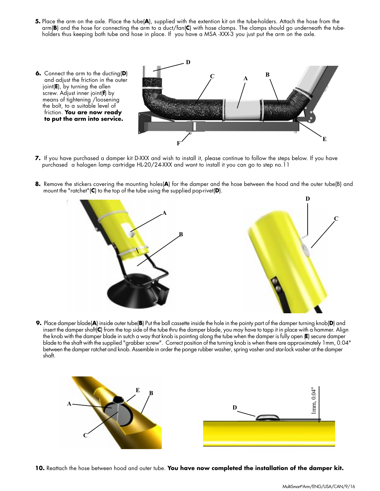- **5.** Place the arm on the axle. Place the tube(**A**), supplied with the extention kit on the tube-holders. Attach the hose from the arm(**B**) and the hose for connecting the arm to a duct/fan(**C**) with hose clamps. The clamps should go underneath the tubeholders thus keeping both tube and hose in place. If you have a MSA -XXX-3 you just put the arm on the axle.
- **6.** Connect the arm to the ducting(**D**) and adjust the friction in the outer joint(**E**), by turning the allen screw. Adjust inner joint(**f**) by means of tightening /loosening the bolt, to a suitable level of friction. **You are now ready to put the arm into service. <sup>A</sup> <sup>B</sup> D F E C**
- **7.** If you have purchased a damper kit D-XXX and wish to install it, please continue to follow the steps below. If you have purchased a halogen lamp cartridge HL-20/24-XXX and want to install it you can go to step no.11
- **8.** Remove the stickers covering the mounting holes(**A**) for the damper and the hose between the hood and the outer tube(B) and mount the "ratchet"(**C**) to the top of the tube using the supplied pop-rivet(**D**).



**9.** Place damper blade(**A**) inside outer tube(**B**) Put the ball cassette inside the hole in the pointy part of the damper turning knob(**D**) and insert the damper shaft(**C**) from the top side of the tube thru the damper blade, you may have to tapp it in place with a hammer. Align the knob with the damper blade in sutch a way that knob is pointing along the tube when the damper is fully open (**E**) secure damper blade to the shaft with the supplied "grabber screw". Correct position of the turning knob is when there are approximately 1mm, 0.04" between the damper ratchet and knob. Assemble in order the ponge rubber washer, spring vasher and star-lock vasher at the damper shaft.



**10.** Reattach the hose between hood and outer tube. **You have now completed the installation of the damper kit.**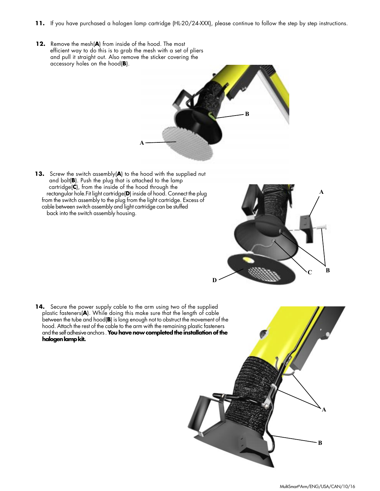- **11.** If you have purchased a halogen lamp cartridge (HL-20/24-XXX), please continue to follow the step by step instructions.
- **12.** Remove the mesh(**A**) from inside of the hood. The most efficient way to do this is to grab the mesh with a set of pliers and pull it straight out. Also remove the sticker covering the accessory holes on the hood(**B**).



**13.** Screw the switch assembly(**A**) to the hood with the supplied nut and bolt(**B**). Push the plug that is attached to the lamp cartridge(**C**), from the inside of the hood through the rectangular hole.Fit light cartridge(**D**) inside of hood. Connect the plug from the switch assembly to the plug from the light cartridge. Excess of cable between switch assembly and light cartridge can be stuffed back into the switch assembly housing.



14. Secure the power supply cable to the arm using two of the supplied plastic fasteners(**A**). While doing this make sure that the length of cable between the tube and hood(**B**) is long enough not to obstruct the movement of the hood. Attach the rest of the cable to the arm with the remaining plastic fasteners and the self adhesive anchors . **You have now completed the installation of the halogen lamp kit.**

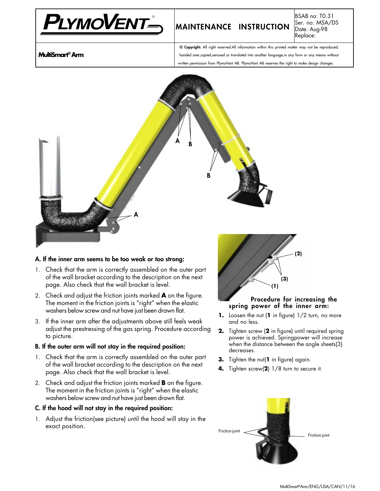

# **MAINTENANCE INSTRUCTION**

BSAB no: T0.31 Ser. no: MSA/DS Date: Aug-98 Replace:

**MultiSmart® Arm**

**© Copyright:** All right reserved.All information within this printed matter may not be reproduced, handed over,copied,xeroxed or translated into another language,in any form or any means without written permission from PlymoVent AB. PlymoVent AB reserves the right to make design changes.



#### **A. If the inner arm seems to be too weak or too strong:**

- 1. Check that the arm is correctly assembled on the outer part of the wall bracket according to the description on the next page. Also check that the wall bracket is level.
- 2. Check and adjust the friction joints marked **A** on the figure. The moment in the friction joints is "right" when the elastic washers below screw and nut have just been drawn flat.
- 3. If the inner arm after the adjustments above still feels weak adjust the prestressing of the gas spring. Procedure according to picture.

#### **B. If the outer arm will not stay in the required position:**

- 1. Check that the arm is correctly assembled on the outer part of the wall bracket according to the description on the next page. Also check that the wall bracket is level.
- 2. Check and adjust the friction joints marked **B** on the figure. The moment in the friction joints is "right" when the elastic washers below screw and nut have just been drawn flat.

#### **C. If the hood will not stay in the required position:**

1. Adjust the friction(see picture) until the hood will stay in the exact position.



#### **Procedure for increasing the spring power of the inner arm:**

- **1.** Loosen the nut (**1** in figure) 1/2 turn, no more and no less.
- **2.** Tighten screw (**2** in figure) until required spring power is achieved. Springpower will increase when the distance between the angle sheets(3) decreases.
- **3.** Tighten the nut(**1** in figure) again.
- **4.** Tighten screw(**2**) 1/8 turn to secure it.

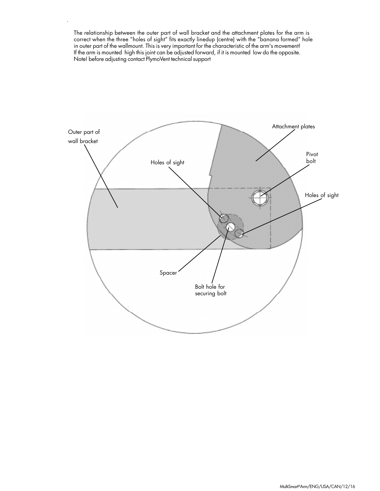The relationship between the outer part of wall bracket and the attachment plates for the arm is correct when the three "holes of sight" fits exactly linedup (centre) with the "banana formed" hole in outer part of the wallmount. This is very important for the characteristic of the arm's movement! If the arm is mounted high this joint can be adjusted forward, if it is mounted low do the opposite. Note! before adjusting contact PlymoVent technical support

.

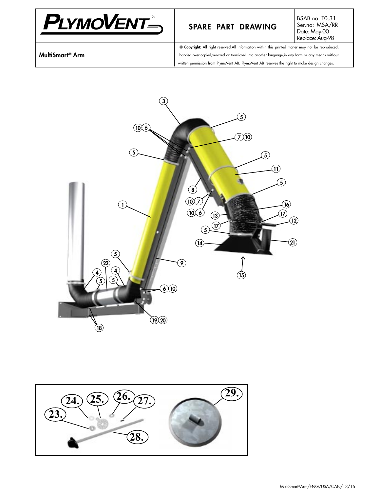

## **SPARE PART DRAWING**

BSAB no: T0.31 Ser.no: MSA/RR Date: May-00 Replace: Aug-98

**MultiSmart® Arm**

**© Copyright:** All right reserved.All information within this printed matter may not be reproduced, handed over,copied,xeroxed or translated into another language,in any form or any means without written permission from PlymoVent AB. PlymoVent AB reserves the right to make design changes.



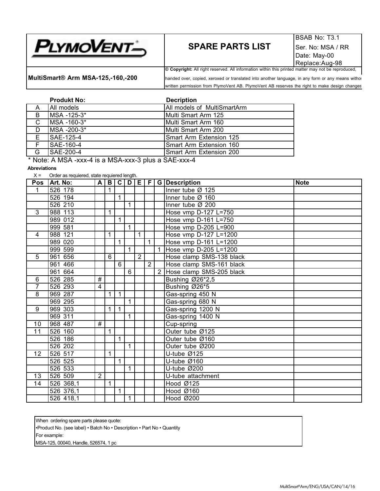

# **SPARE PARTS LIST** Ser. No: MSA / RR

**© Copyright:** All right reserved. All information within this printed matter may not be reproduced, **MultiSmart<sup>®</sup> Arm MSA-125,-160,-200** handed over, copied, xeroxed or translated into another language, in any form or any means withou written permission from PlymoVent AB. PlymoVent AB reserves the right to make design changes

|              | <b>Produkt No:</b>                                 | <b>Decription</b>           |
|--------------|----------------------------------------------------|-----------------------------|
| A            | I All models                                       | All models of MultiSmartArm |
| B            | MSA -125-3*                                        | Multi Smart Arm 125         |
| $\mathsf{C}$ | IMSA -160-3*                                       | IMulti Smart Arm 160        |
| D            | MSA -200-3*                                        | IMulti Smart Arm 200        |
| E.           | <b>SAE-125-4</b>                                   | Smart Arm Extension 125     |
| F.           | <b>SAE-160-4</b>                                   | Smart Arm Extension 160     |
| G            | ISAE-200-4                                         | Smart Arm Extension 200     |
|              | $*$ NLL. A NIOA $$ 4 $*$ NIOA $$ Only $*$ OAF $$ 4 |                             |

Note: A MSA -xxx-4 is a MSA-xxx-3 plus a SAE-xxx-4

**Abreviations** 

 $X =$  Order as requiered, state requiered length.

| <b>Pos</b>     | Art. No:   | A              | $\mathbf{B}$    |              | $C$ $D$ $E$     |                | E              |   | G   Description              | <b>Note</b> |
|----------------|------------|----------------|-----------------|--------------|-----------------|----------------|----------------|---|------------------------------|-------------|
| $\mathbf 1$    | 526 178    |                | $\mathbf{1}$    |              |                 |                |                |   | Inner tube $\varnothing$ 125 |             |
|                | 526 194    |                |                 | 1            |                 |                |                |   | Inner tube Ø 160             |             |
|                | 526 210    |                |                 |              | $\overline{1}$  |                |                |   | Inner tube $Ø$ 200           |             |
| $\overline{3}$ | 988 113    |                | $\mathbf{1}$    |              |                 |                |                |   | Hose vmp D-127 L=750         |             |
|                | 989 012    |                |                 | 1            |                 |                |                |   | Hose vmp D-161 L=750         |             |
|                | 999 581    |                |                 |              | $\overline{1}$  |                |                |   | Hose vmp D-205 L=900         |             |
| 4              | 988 121    |                | $\mathbf{1}$    |              |                 | $\mathbf{1}$   |                |   | Hose vmp D-127 L=1200        |             |
|                | 989 020    |                |                 | $\mathbf{1}$ |                 |                | 1              |   | Hose vmp D-161 L=1200        |             |
|                | 999 599    |                |                 |              | $\mathbf{1}$    |                |                |   | Hose vmp D-205 L=1200        |             |
| 5              | 961 656    |                | $6\overline{6}$ |              |                 | $\overline{2}$ |                |   | Hose clamp SMS-138 black     |             |
|                | 961 466    |                |                 | 6            |                 |                | $\overline{2}$ |   | Hose clamp SMS-161 black     |             |
|                | 961 664    |                |                 |              | $6\overline{6}$ |                |                | 2 | Hose clamp SMS-205 black     |             |
| 6              | 526 285    | #              |                 |              |                 |                |                |   | Bushing Ø26*2,5              |             |
| 7              | 526 293    | 4              |                 |              |                 |                |                |   | Bushing Ø26*5                |             |
| 8              | 969 287    |                | 1               | $\mathbf{1}$ |                 |                |                |   | Gas-spring 450 N             |             |
|                | 969 295    |                |                 |              | $\mathbf{1}$    |                |                |   | Gas-spring 680 N             |             |
| 9              | 969 303    |                | 1               | 1            |                 |                |                |   | Gas-spring 1200 N            |             |
|                | 969 311    |                |                 |              | $\overline{1}$  |                |                |   | Gas-spring 1400 N            |             |
| 10             | 968 487    | #              |                 |              |                 |                |                |   | Cup-spring                   |             |
| 11             | 526 160    |                | 1               |              |                 |                |                |   | Outer tube Ø125              |             |
|                | 526 186    |                |                 | 1            |                 |                |                |   | Outer tube Ø160              |             |
|                | $526\ 202$ |                |                 |              | $\mathbf{1}$    |                |                |   | Outer tube Ø200              |             |
| 12             | 526 517    |                | 1               |              |                 |                |                |   | U-tube Ø125                  |             |
|                | 526 525    |                |                 | 1            |                 |                |                |   | U-tube Ø160                  |             |
|                | 526 533    |                |                 |              | $\mathbf{1}$    |                |                |   | U-tube Ø200                  |             |
| 13             | 526 509    | $\overline{2}$ |                 |              |                 |                |                |   | U-tube attachment            |             |
| 14             | 526 368,1  |                | $\mathbf{1}$    |              |                 |                |                |   | Hood Ø125                    |             |
|                | 526 376,1  |                |                 | 1            |                 |                |                |   | Hood Ø160                    |             |
|                | 526 418,1  |                |                 |              | $\overline{1}$  |                |                |   | Hood Ø200                    |             |

When ordering spare parts please quote:

•Product No. (see label) • Batch No • Description • Part No • Quantity

For example:

MSA-125, 00040, Handle, 526574, 1 pc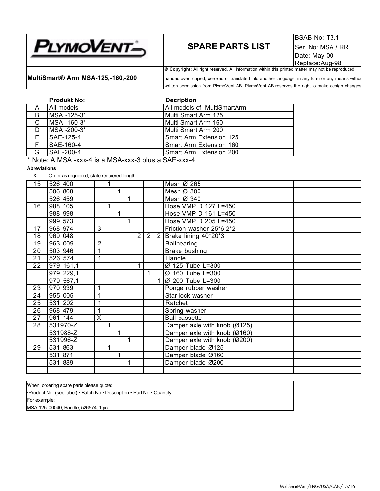# **SPARE PARTS LIST** Ser. No: MSA / RR

**MultiSmart® Arm MSA-125,-160,-200** handed over, copied, xeroxed or translated into another language, in any form or any means withou written permission from PlymoVent AB. PlymoVent AB reserves the right to make design changes

|    | <b>Produkt No:</b>                    | <b>Decription</b>           |
|----|---------------------------------------|-----------------------------|
| A  | All models                            | All models of MultiSmartArm |
| B  | MSA -125-3*                           | Multi Smart Arm 125         |
| C  | MSA -160-3*                           | Multi Smart Arm 160         |
| D  | IMSA -200-3*                          | Multi Smart Arm 200         |
| Е  | SAE-125-4                             | Smart Arm Extension 125     |
| F. | SAE-160-4                             | Smart Arm Extension 160     |
| G  | SAE-200-4                             | Smart Arm Extension 200     |
|    | .<br>. .<br>$\cdots$<br>$\sim$ $\sim$ | $\sim$ $\sim$ $\sim$ $\sim$ |

Note: A MSA -xxx-4 is a MSA-xxx-3 plus a SAE-xxx-4

#### **Abreviations**

 $X =$  Order as requiered, state requiered length.

| 15              | 526 400   |                         | 1 |   |              |                |                |                | Mesh Ø 265                   |  |
|-----------------|-----------|-------------------------|---|---|--------------|----------------|----------------|----------------|------------------------------|--|
|                 | 506 808   |                         |   | 1 |              |                |                |                | Mesh Ø 300                   |  |
|                 | 526 459   |                         |   |   | $\mathbf{1}$ |                |                |                | Mesh Ø 340                   |  |
| 16              | 988 105   |                         | 1 |   |              |                |                |                | Hose VMP D 127 L=450         |  |
|                 | 988 998   |                         |   | 1 |              |                |                |                | Hose VMP D 161 L=450         |  |
|                 | 999 573   |                         |   |   | $\mathbf{1}$ |                |                |                | Hose VMP D 205 L=450         |  |
| 17              | 968 974   | 3                       |   |   |              |                |                |                | Friction washer 25*6,2*2     |  |
| 18              | 969 048   |                         |   |   |              | $\overline{2}$ | $\overline{2}$ | $\overline{2}$ | Brake lining 40*20*3         |  |
| 19              | 963 009   | $\overline{2}$          |   |   |              |                |                |                | <b>Ballbearing</b>           |  |
| 20              | 503 946   |                         |   |   |              |                |                |                | Brake bushing                |  |
| 21              | 526 574   | 1                       |   |   |              |                |                |                | Handle                       |  |
| 22              | 979 161,1 |                         |   |   |              |                |                |                | Ø 125 Tube L=300             |  |
|                 | 979 229,1 |                         |   |   |              |                | 1              |                | Ø 160 Tube L=300             |  |
|                 | 979 567,1 |                         |   |   |              |                |                |                | Ø 200 Tube L=300             |  |
| 23              | 970 939   | 1                       |   |   |              |                |                |                | Ponge rubber washer          |  |
| 24              | 955 005   | 1                       |   |   |              |                |                |                | Star lock washer             |  |
| 25              | 531 202   |                         |   |   |              |                |                |                | Ratchet                      |  |
| 26              | 968 479   | 1                       |   |   |              |                |                |                | Spring washer                |  |
| 27              | 961 144   | $\overline{\mathsf{x}}$ |   |   |              |                |                |                | <b>Ball cassette</b>         |  |
| $\overline{28}$ | 531970-Z  |                         | 1 |   |              |                |                |                | Damper axle with knob (Ø125) |  |
|                 | 531988-Z  |                         |   | 1 |              |                |                |                | Damper axle with knob (Ø160) |  |
|                 | 531996-Z  |                         |   |   | $\mathbf 1$  |                |                |                | Damper axle with knob (Ø200) |  |
| 29              | 531 863   |                         | 1 |   |              |                |                |                | Damper blade Ø125            |  |
|                 | 531 871   |                         |   | 1 |              |                |                |                | Damper blade Ø160            |  |
|                 | 531 889   |                         |   |   | 1            |                |                |                | Damper blade Ø200            |  |
|                 |           |                         |   |   |              |                |                |                |                              |  |

When ordering spare parts please quote:

•Product No. (see label) • Batch No • Description • Part No • Quantity For example:

MSA-125, 00040, Handle, 526574, 1 pc